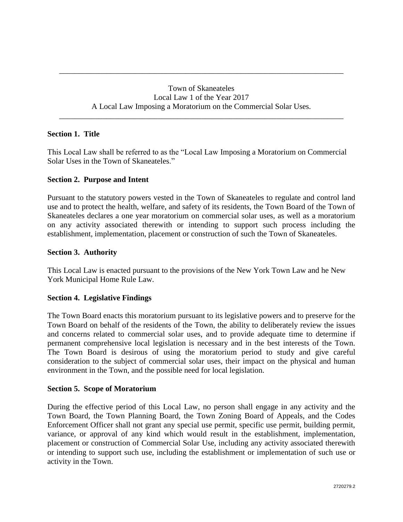Town of Skaneateles Local Law 1 of the Year 2017 A Local Law Imposing a Moratorium on the Commercial Solar Uses.

\_\_\_\_\_\_\_\_\_\_\_\_\_\_\_\_\_\_\_\_\_\_\_\_\_\_\_\_\_\_\_\_\_\_\_\_\_\_\_\_\_\_\_\_\_\_\_\_\_\_\_\_\_\_\_\_\_\_\_\_\_\_\_\_\_\_\_\_\_\_\_\_

\_\_\_\_\_\_\_\_\_\_\_\_\_\_\_\_\_\_\_\_\_\_\_\_\_\_\_\_\_\_\_\_\_\_\_\_\_\_\_\_\_\_\_\_\_\_\_\_\_\_\_\_\_\_\_\_\_\_\_\_\_\_\_\_\_\_\_\_\_\_\_\_

## **Section 1. Title**

This Local Law shall be referred to as the "Local Law Imposing a Moratorium on Commercial Solar Uses in the Town of Skaneateles."

#### **Section 2. Purpose and Intent**

Pursuant to the statutory powers vested in the Town of Skaneateles to regulate and control land use and to protect the health, welfare, and safety of its residents, the Town Board of the Town of Skaneateles declares a one year moratorium on commercial solar uses, as well as a moratorium on any activity associated therewith or intending to support such process including the establishment, implementation, placement or construction of such the Town of Skaneateles.

#### **Section 3. Authority**

This Local Law is enacted pursuant to the provisions of the New York Town Law and he New York Municipal Home Rule Law.

#### **Section 4. Legislative Findings**

The Town Board enacts this moratorium pursuant to its legislative powers and to preserve for the Town Board on behalf of the residents of the Town, the ability to deliberately review the issues and concerns related to commercial solar uses, and to provide adequate time to determine if permanent comprehensive local legislation is necessary and in the best interests of the Town. The Town Board is desirous of using the moratorium period to study and give careful consideration to the subject of commercial solar uses, their impact on the physical and human environment in the Town, and the possible need for local legislation.

#### **Section 5. Scope of Moratorium**

During the effective period of this Local Law, no person shall engage in any activity and the Town Board, the Town Planning Board, the Town Zoning Board of Appeals, and the Codes Enforcement Officer shall not grant any special use permit, specific use permit, building permit, variance, or approval of any kind which would result in the establishment, implementation, placement or construction of Commercial Solar Use, including any activity associated therewith or intending to support such use, including the establishment or implementation of such use or activity in the Town.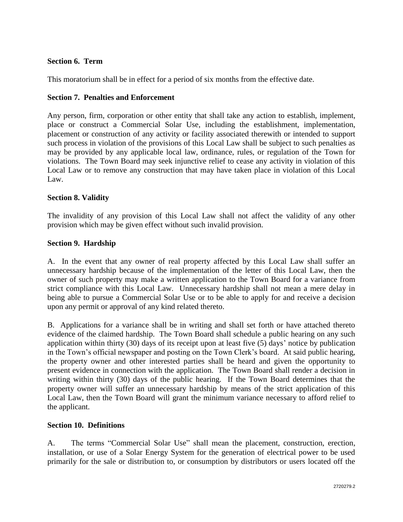## **Section 6. Term**

This moratorium shall be in effect for a period of six months from the effective date.

## **Section 7. Penalties and Enforcement**

Any person, firm, corporation or other entity that shall take any action to establish, implement, place or construct a Commercial Solar Use, including the establishment, implementation, placement or construction of any activity or facility associated therewith or intended to support such process in violation of the provisions of this Local Law shall be subject to such penalties as may be provided by any applicable local law, ordinance, rules, or regulation of the Town for violations. The Town Board may seek injunctive relief to cease any activity in violation of this Local Law or to remove any construction that may have taken place in violation of this Local Law.

# **Section 8. Validity**

The invalidity of any provision of this Local Law shall not affect the validity of any other provision which may be given effect without such invalid provision.

# **Section 9. Hardship**

A. In the event that any owner of real property affected by this Local Law shall suffer an unnecessary hardship because of the implementation of the letter of this Local Law, then the owner of such property may make a written application to the Town Board for a variance from strict compliance with this Local Law. Unnecessary hardship shall not mean a mere delay in being able to pursue a Commercial Solar Use or to be able to apply for and receive a decision upon any permit or approval of any kind related thereto.

B. Applications for a variance shall be in writing and shall set forth or have attached thereto evidence of the claimed hardship. The Town Board shall schedule a public hearing on any such application within thirty (30) days of its receipt upon at least five (5) days' notice by publication in the Town's official newspaper and posting on the Town Clerk's board. At said public hearing, the property owner and other interested parties shall be heard and given the opportunity to present evidence in connection with the application. The Town Board shall render a decision in writing within thirty (30) days of the public hearing. If the Town Board determines that the property owner will suffer an unnecessary hardship by means of the strict application of this Local Law, then the Town Board will grant the minimum variance necessary to afford relief to the applicant.

## **Section 10. Definitions**

A. The terms "Commercial Solar Use" shall mean the placement, construction, erection, installation, or use of a Solar Energy System for the generation of electrical power to be used primarily for the sale or distribution to, or consumption by distributors or users located off the